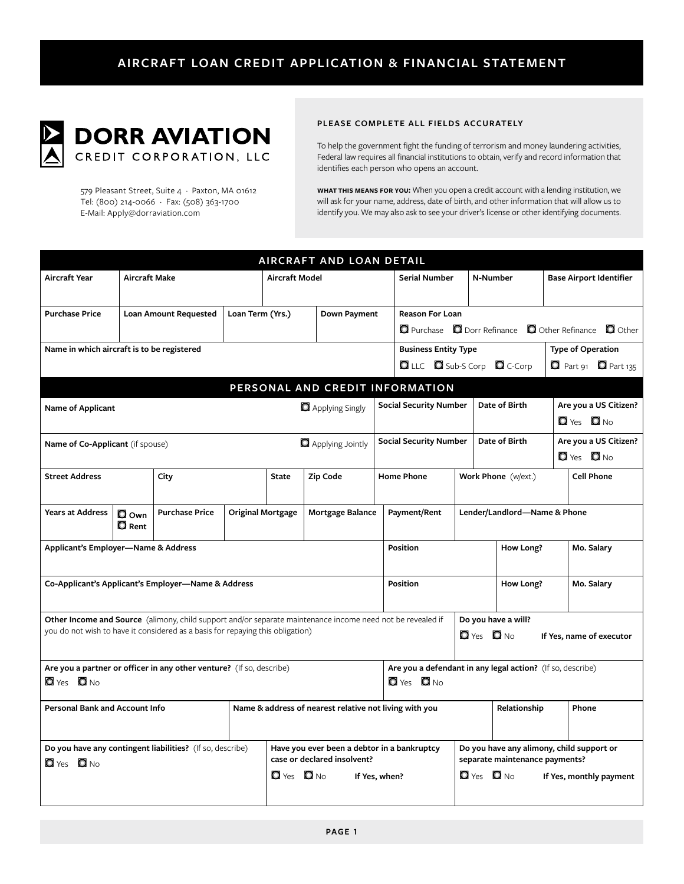

579 Pleasant Street, Suite 4 · Paxton, MA 01612 Tel: (800) 214-0066 · Fax: (508) 363-1700 E-Mail: Apply@dorraviation.com

### PLEASE COMPLETE ALL FIELDS ACCURATELY

To help the government fight the funding of terrorism and money laundering activities, Federal law requires all financial institutions to obtain, verify and record information that identifies each person who opens an account.

WHAT THIS MEANS FOR YOU: When you open a credit account with a lending institution, we will ask for your name, address, date of birth, and other information that will allow us to identify you. We may also ask to see your driver's license or other identifying documents.

| AIRCRAFT AND LOAN DETAIL                                                                                                                                                                                                                                                 |                                     |                       |                          |                                                        |                                                                            |                                                                                    |                               |                                                                             |                      |                                |                                |  |
|--------------------------------------------------------------------------------------------------------------------------------------------------------------------------------------------------------------------------------------------------------------------------|-------------------------------------|-----------------------|--------------------------|--------------------------------------------------------|----------------------------------------------------------------------------|------------------------------------------------------------------------------------|-------------------------------|-----------------------------------------------------------------------------|----------------------|--------------------------------|--------------------------------|--|
| <b>Aircraft Year</b>                                                                                                                                                                                                                                                     | <b>Aircraft Make</b>                |                       |                          | Aircraft Model                                         |                                                                            |                                                                                    | <b>Serial Number</b>          |                                                                             | N-Number             | <b>Base Airport Identifier</b> |                                |  |
| <b>Purchase Price</b>                                                                                                                                                                                                                                                    | Loan Amount Requested               |                       | Loan Term (Yrs.)         | Down Payment                                           |                                                                            |                                                                                    | <b>Reason For Loan</b>        |                                                                             |                      |                                |                                |  |
|                                                                                                                                                                                                                                                                          |                                     |                       |                          |                                                        |                                                                            | <b>Q</b> Purchase <b>Q</b> Dorr Refinance <b>Q</b> Other Refinance <b>Q</b> Other  |                               |                                                                             |                      |                                |                                |  |
| Name in which aircraft is to be registered                                                                                                                                                                                                                               |                                     |                       |                          |                                                        |                                                                            | <b>Business Entity Type</b>                                                        |                               | <b>Type of Operation</b>                                                    |                      |                                |                                |  |
|                                                                                                                                                                                                                                                                          |                                     |                       |                          |                                                        |                                                                            |                                                                                    |                               | LLC Sub-S Corp C C-Corp                                                     |                      |                                | $\Box$ Part 91 $\Box$ Part 135 |  |
| PERSONAL AND CREDIT INFORMATION                                                                                                                                                                                                                                          |                                     |                       |                          |                                                        |                                                                            |                                                                                    |                               |                                                                             |                      |                                |                                |  |
| Name of Applicant                                                                                                                                                                                                                                                        |                                     |                       |                          | Applying Singly                                        |                                                                            |                                                                                    | <b>Social Security Number</b> |                                                                             | Date of Birth        |                                | Are you a US Citizen?          |  |
|                                                                                                                                                                                                                                                                          |                                     |                       |                          |                                                        |                                                                            |                                                                                    |                               |                                                                             |                      |                                | $\Box$ Yes $\Box$ No.          |  |
| Name of Co-Applicant (if spouse)                                                                                                                                                                                                                                         |                                     |                       |                          | Applying Jointly                                       |                                                                            |                                                                                    | <b>Social Security Number</b> |                                                                             | Date of Birth        |                                | Are you a US Citizen?          |  |
|                                                                                                                                                                                                                                                                          |                                     |                       |                          |                                                        |                                                                            |                                                                                    |                               |                                                                             |                      |                                | $\Box$ Yes $\Box$ No.          |  |
| <b>Street Address</b>                                                                                                                                                                                                                                                    |                                     | City                  |                          | <b>State</b>                                           | Zip Code                                                                   | <b>Home Phone</b>                                                                  |                               |                                                                             | Work Phone (w/ext.)  |                                | <b>Cell Phone</b>              |  |
| <b>Years at Address</b>                                                                                                                                                                                                                                                  | <b>O</b> Own<br>$\blacksquare$ Rent | <b>Purchase Price</b> | <b>Original Mortgage</b> |                                                        | Mortgage Balance                                                           |                                                                                    | Payment/Rent                  | Lender/Landlord-Name & Phone                                                |                      |                                |                                |  |
| Applicant's Employer-Name & Address                                                                                                                                                                                                                                      |                                     |                       |                          |                                                        |                                                                            |                                                                                    | <b>Position</b>               |                                                                             | How Long?            |                                | Mo. Salary                     |  |
| Co-Applicant's Applicant's Employer-Name & Address                                                                                                                                                                                                                       |                                     |                       |                          |                                                        |                                                                            |                                                                                    | Position                      |                                                                             | How Long?            |                                | Mo. Salary                     |  |
| Other Income and Source (alimony, child support and/or separate maintenance income need not be revealed if<br>Do you have a will?<br>you do not wish to have it considered as a basis for repaying this obligation)<br>$\Box$ Yes $\Box$ No.<br>If Yes, name of executor |                                     |                       |                          |                                                        |                                                                            |                                                                                    |                               |                                                                             |                      |                                |                                |  |
| Are you a partner or officer in any other venture? (If so, describe)<br>$\Box$ Yes $\Box$ No                                                                                                                                                                             |                                     |                       |                          |                                                        |                                                                            | Are you a defendant in any legal action? (If so, describe)<br>$\Box$ Yes $\Box$ No |                               |                                                                             |                      |                                |                                |  |
| <b>Personal Bank and Account Info</b>                                                                                                                                                                                                                                    |                                     |                       |                          | Name & address of nearest relative not living with you |                                                                            |                                                                                    |                               |                                                                             | Relationship         |                                | Phone                          |  |
| Do you have any contingent liabilities? (If so, describe)                                                                                                                                                                                                                |                                     |                       |                          |                                                        | Have you ever been a debtor in a bankruptcy<br>case or declared insolvent? |                                                                                    |                               | Do you have any alimony, child support or<br>separate maintenance payments? |                      |                                |                                |  |
| $\Box$ Yes $\Box$ No                                                                                                                                                                                                                                                     |                                     |                       |                          | $\Box$ Yes $\Box$ No<br>If Yes, when?                  |                                                                            |                                                                                    |                               |                                                                             | $\Box$ Yes $\Box$ No | If Yes, monthly payment        |                                |  |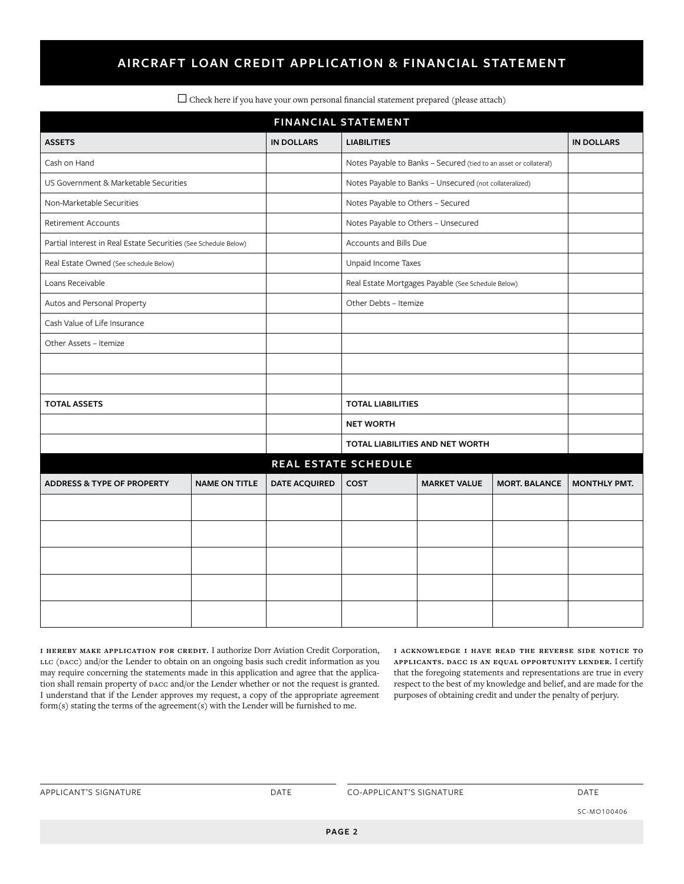# **AIRCRAFT LOAN CREDIT APPLICATION & FINANCIAL STATEMENT**

| <b>FINANCIAL STATEMENT</b>                                      |                      |                                 |                                                                   |                     |                      |                     |  |  |  |  |  |
|-----------------------------------------------------------------|----------------------|---------------------------------|-------------------------------------------------------------------|---------------------|----------------------|---------------------|--|--|--|--|--|
| <b>ASSETS</b>                                                   |                      | <b>IN DOLLARS</b>               | <b>LIABILITIES</b>                                                |                     |                      | <b>IN DOLLARS</b>   |  |  |  |  |  |
| Cash on Hand                                                    |                      |                                 | Notes Payable to Banks - Secured (tied to an asset or collateral) |                     |                      |                     |  |  |  |  |  |
| US Government & Marketable Securities                           |                      |                                 | Notes Payable to Banks - Unsecured (not collateralized)           |                     |                      |                     |  |  |  |  |  |
| Non-Marketable Securities                                       |                      |                                 | Notes Payable to Others - Secured                                 |                     |                      |                     |  |  |  |  |  |
| <b>Retirement Accounts</b>                                      |                      |                                 | Notes Payable to Others - Unsecured                               |                     |                      |                     |  |  |  |  |  |
| Partial Interest in Real Estate Securities (See Schedule Below) |                      |                                 | Accounts and Bills Due                                            |                     |                      |                     |  |  |  |  |  |
| Real Estate Owned (See schedule Below)                          |                      |                                 | Unpaid Income Taxes                                               |                     |                      |                     |  |  |  |  |  |
| Loans Receivable                                                |                      |                                 | Real Estate Mortgages Payable (See Schedule Below)                |                     |                      |                     |  |  |  |  |  |
| Autos and Personal Property                                     |                      |                                 | Other Debts - Itemize                                             |                     |                      |                     |  |  |  |  |  |
| Cash Value of Life Insurance                                    |                      |                                 |                                                                   |                     |                      |                     |  |  |  |  |  |
| Other Assets - Itemize                                          |                      |                                 |                                                                   |                     |                      |                     |  |  |  |  |  |
|                                                                 |                      |                                 |                                                                   |                     |                      |                     |  |  |  |  |  |
|                                                                 |                      |                                 |                                                                   |                     |                      |                     |  |  |  |  |  |
| <b>TOTAL ASSETS</b>                                             |                      |                                 | <b>TOTAL LIABILITIES</b>                                          |                     |                      |                     |  |  |  |  |  |
|                                                                 |                      | <b>NET WORTH</b>                |                                                                   |                     |                      |                     |  |  |  |  |  |
|                                                                 |                      | TOTAL LIABILITIES AND NET WORTH |                                                                   |                     |                      |                     |  |  |  |  |  |
| REAL ESTATE SCHEDULE                                            |                      |                                 |                                                                   |                     |                      |                     |  |  |  |  |  |
| <b>ADDRESS &amp; TYPE OF PROPERTY</b>                           | <b>NAME ON TITLE</b> | <b>DATE ACQUIRED</b>            | <b>COST</b>                                                       | <b>MARKET VALUE</b> | <b>MORT. BALANCE</b> | <b>MONTHLY PMT.</b> |  |  |  |  |  |
|                                                                 |                      |                                 |                                                                   |                     |                      |                     |  |  |  |  |  |
|                                                                 |                      |                                 |                                                                   |                     |                      |                     |  |  |  |  |  |
|                                                                 |                      |                                 |                                                                   |                     |                      |                     |  |  |  |  |  |
|                                                                 |                      |                                 |                                                                   |                     |                      |                     |  |  |  |  |  |
|                                                                 |                      |                                 |                                                                   |                     |                      |                     |  |  |  |  |  |
|                                                                 |                      |                                 |                                                                   |                     |                      |                     |  |  |  |  |  |

 $\Box$  Check here if you have your own personal financial statement prepared (please attach)

**i hereby make application for credit.** I authorize Dorr Aviation Credit Corporation, LLC (DACC) and/or the Lender to obtain on an ongoing basis such credit information as you may require concerning the statements made in this application and agree that the application shall remain property of  $p$ ACC and/or the Lender whether or not the request is granted. I understand that if the Lender approves my request, a copy of the appropriate agreement form(s) stating the terms of the agreement(s) with the Lender will be furnished to me.

**i acknowledge i have read the reverse side notice to applicants. dacc is an equal opportunity lender.** I certify that the foregoing statements and representations are true in every respect to the best of my knowledge and belief, and are made for the purposes of obtaining credit and under the penalty of perjury.

APPLICANT'S SIGNATURE DATE DATE CO-APPLICANT'S SIGNATURE DATE